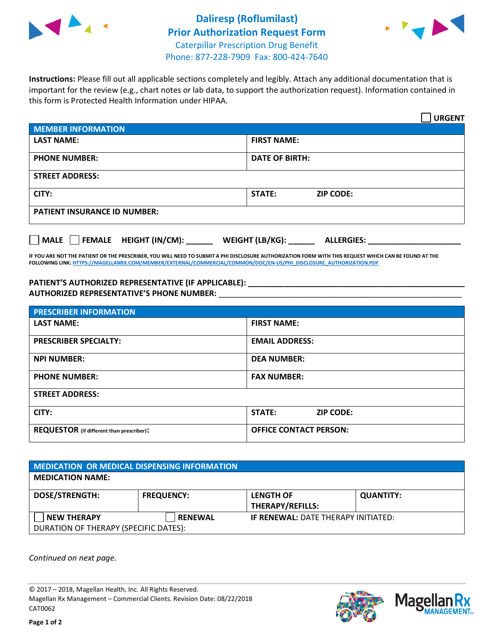



**Instructions:** Please fill out all applicable sections completely and legibly. Attach any additional documentation that is important for the review (e.g., chart notes or lab data, to support the authorization request). Information contained in this form is Protected Health Information under HIPAA.

|                                       | <b>URGENT</b>                        |  |  |
|---------------------------------------|--------------------------------------|--|--|
| <b>MEMBER INFORMATION</b>             |                                      |  |  |
| <b>LAST NAME:</b>                     | <b>FIRST NAME:</b>                   |  |  |
| <b>PHONE NUMBER:</b>                  | <b>DATE OF BIRTH:</b>                |  |  |
| <b>STREET ADDRESS:</b>                |                                      |  |  |
| CITY:                                 | <b>ZIP CODE:</b><br><b>STATE:</b>    |  |  |
| <b>PATIENT INSURANCE ID NUMBER:</b>   |                                      |  |  |
| FEMALE HEIGHT (IN/CM):<br><b>MALE</b> | WEIGHT (LB/KG):<br><b>ALLERGIES:</b> |  |  |

**IF YOU ARE NOT THE PATIENT OR THE PRESCRIBER, YOU WILL NEED TO SUBMIT A PHI DISCLOSURE AUTHORIZATION FORM WITH THIS REQUEST WHICH CAN BE FOUND AT THE FOLLOWING LINK[: HTTPS://MAGELLANRX.COM/MEMBER/EXTERNAL/COMMERCIAL/COMMON/DOC/EN-US/PHI\\_DISCLOSURE\\_AUTHORIZATION.PDF](https://magellanrx.com/member/external/commercial/common/doc/en-us/PHI_Disclosure_Authorization.pdf)**

**PATIENT'S AUTHORIZED REPRESENTATIVE (IF APPLICABLE): \_\_\_\_\_\_\_\_\_\_\_\_\_\_\_\_\_\_\_\_\_\_\_\_\_\_\_\_\_\_\_\_\_\_\_\_\_\_\_\_\_\_\_\_\_\_\_\_\_ AUTHORIZED REPRESENTATIVE'S PHONE NUMBER:** \_\_\_\_\_\_\_\_\_\_\_\_\_\_\_\_\_\_\_\_\_\_\_\_\_\_\_\_\_\_\_\_\_\_\_\_\_\_\_\_\_\_\_\_\_\_\_\_\_\_\_\_\_\_\_

| <b>PRESCRIBER INFORMATION</b>             |                               |  |  |  |
|-------------------------------------------|-------------------------------|--|--|--|
| <b>LAST NAME:</b>                         | <b>FIRST NAME:</b>            |  |  |  |
| <b>PRESCRIBER SPECIALTY:</b>              | <b>EMAIL ADDRESS:</b>         |  |  |  |
| <b>NPI NUMBER:</b>                        | <b>DEA NUMBER:</b>            |  |  |  |
| <b>PHONE NUMBER:</b>                      | <b>FAX NUMBER:</b>            |  |  |  |
| <b>STREET ADDRESS:</b>                    |                               |  |  |  |
| CITY:                                     | STATE:<br><b>ZIP CODE:</b>    |  |  |  |
| REQUESTOR (if different than prescriber): | <b>OFFICE CONTACT PERSON:</b> |  |  |  |

| <b>MEDICATION OR MEDICAL DISPENSING INFORMATION</b> |                   |                                            |                  |  |  |
|-----------------------------------------------------|-------------------|--------------------------------------------|------------------|--|--|
| <b>MEDICATION NAME:</b>                             |                   |                                            |                  |  |  |
| <b>DOSE/STRENGTH:</b>                               | <b>FREQUENCY:</b> | <b>LENGTH OF</b>                           | <b>QUANTITY:</b> |  |  |
|                                                     |                   | <b>THERAPY/REFILLS:</b>                    |                  |  |  |
| <b>NEW THERAPY</b>                                  | <b>RENEWAL</b>    | <b>IF RENEWAL: DATE THERAPY INITIATED:</b> |                  |  |  |
| DURATION OF THERAPY (SPECIFIC DATES):               |                   |                                            |                  |  |  |

*Continued on next page.*

© 2017 – 2018, Magellan Health, Inc. All Rights Reserved. Magellan Rx Management – Commercial Clients. Revision Date: 08/22/2018 CAT0062